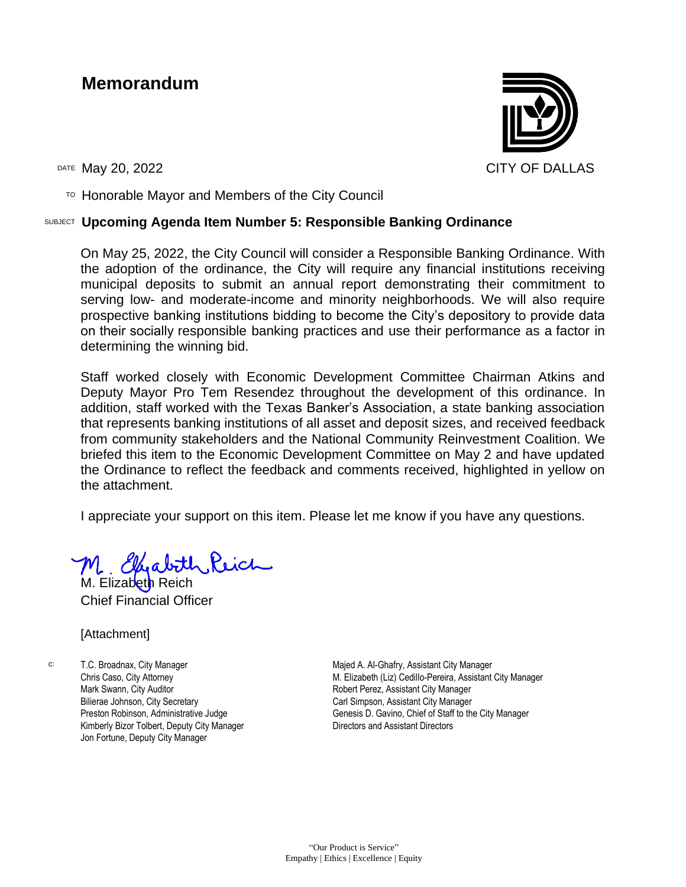# **Memorandum**



 $T$ <sup>O</sup> Honorable Mayor and Members of the City Council

#### SUBJECT **Upcoming Agenda Item Number 5: Responsible Banking Ordinance**

On May 25, 2022, the City Council will consider a Responsible Banking Ordinance. With the adoption of the ordinance, the City will require any financial institutions receiving municipal deposits to submit an annual report demonstrating their commitment to serving low- and moderate-income and minority neighborhoods. We will also require prospective banking institutions bidding to become the City's depository to provide data on their socially responsible banking practices and use their performance as a factor in determining the winning bid.

Staff worked closely with Economic Development Committee Chairman Atkins and Deputy Mayor Pro Tem Resendez throughout the development of this ordinance. In addition, staff worked with the Texas Banker's Association, a state banking association that represents banking institutions of all asset and deposit sizes, and received feedback from community stakeholders and the National Community Reinvestment Coalition. We briefed this item to the Economic Development Committee on May 2 and have updated the Ordinance to reflect the feedback and comments received, highlighted in yellow on the attachment.

I appreciate your support on this item. Please let me know if you have any questions.

M. Elizabeth Reich Chief Financial Officer

#### [Attachment]

c: T.C. Broadnax, City Manager Chris Caso, City Attorney Mark Swann, City Auditor Bilierae Johnson, City Secretary Preston Robinson, Administrative Judge Kimberly Bizor Tolbert, Deputy City Manager Jon Fortune, Deputy City Manager

Majed A. Al-Ghafry, Assistant City Manager M. Elizabeth (Liz) Cedillo-Pereira, Assistant City Manager Robert Perez, Assistant City Manager Carl Simpson, Assistant City Manager Genesis D. Gavino, Chief of Staff to the City Manager Directors and Assistant Directors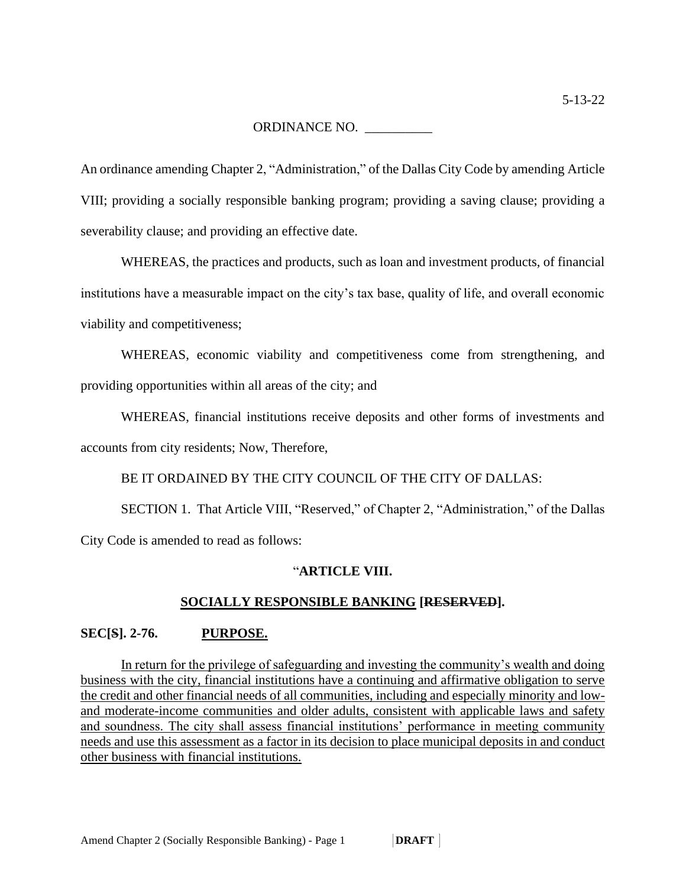ORDINANCE NO. \_\_\_\_\_\_\_\_\_\_

An ordinance amending Chapter 2, "Administration," of the Dallas City Code by amending Article VIII; providing a socially responsible banking program; providing a saving clause; providing a severability clause; and providing an effective date.

WHEREAS, the practices and products, such as loan and investment products, of financial institutions have a measurable impact on the city's tax base, quality of life, and overall economic viability and competitiveness;

WHEREAS, economic viability and competitiveness come from strengthening, and providing opportunities within all areas of the city; and

WHEREAS, financial institutions receive deposits and other forms of investments and accounts from city residents; Now, Therefore,

BE IT ORDAINED BY THE CITY COUNCIL OF THE CITY OF DALLAS:

SECTION 1. That Article VIII, "Reserved," of Chapter 2, "Administration," of the Dallas City Code is amended to read as follows:

#### "**ARTICLE VIII.**

#### **SOCIALLY RESPONSIBLE BANKING [RESERVED].**

#### **SEC[S]. 2-76. PURPOSE.**

In return for the privilege of safeguarding and investing the community's wealth and doing business with the city, financial institutions have a continuing and affirmative obligation to serve the credit and other financial needs of all communities, including and especially minority and lowand moderate-income communities and older adults, consistent with applicable laws and safety and soundness. The city shall assess financial institutions' performance in meeting community needs and use this assessment as a factor in its decision to place municipal deposits in and conduct other business with financial institutions.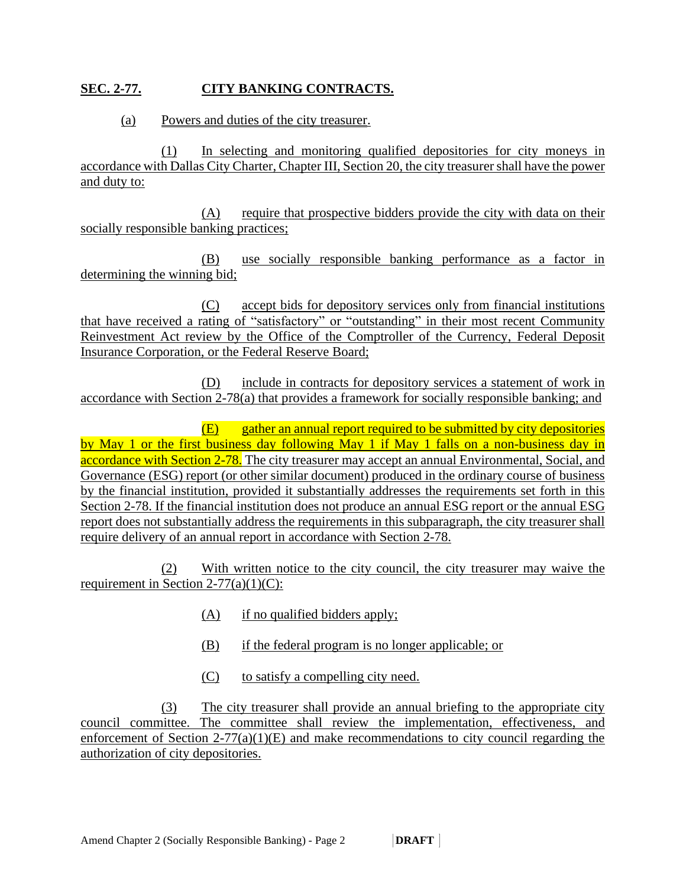### **SEC. 2-77. CITY BANKING CONTRACTS.**

#### (a) Powers and duties of the city treasurer.

(1) In selecting and monitoring qualified depositories for city moneys in accordance with Dallas City Charter, Chapter III, Section 20, the city treasurershall have the power and duty to:

(A) require that prospective bidders provide the city with data on their socially responsible banking practices;

(B) use socially responsible banking performance as a factor in determining the winning bid;

(C) accept bids for depository services only from financial institutions that have received a rating of "satisfactory" or "outstanding" in their most recent Community Reinvestment Act review by the Office of the Comptroller of the Currency, Federal Deposit Insurance Corporation, or the Federal Reserve Board;

(D) include in contracts for depository services a statement of work in accordance with Section 2-78(a) that provides a framework for socially responsible banking; and

(E) gather an annual report required to be submitted by city depositories by May 1 or the first business day following May 1 if May 1 falls on a non-business day in accordance with Section 2-78. The city treasurer may accept an annual Environmental, Social, and Governance (ESG) report (or other similar document) produced in the ordinary course of business by the financial institution, provided it substantially addresses the requirements set forth in this Section 2-78. If the financial institution does not produce an annual ESG report or the annual ESG report does not substantially address the requirements in this subparagraph, the city treasurer shall require delivery of an annual report in accordance with Section 2-78.

(2) With written notice to the city council, the city treasurer may waive the requirement in Section  $2-77(a)(1)(C)$ :

- (A) if no qualified bidders apply;
- (B) if the federal program is no longer applicable; or
- (C) to satisfy a compelling city need.

(3) The city treasurer shall provide an annual briefing to the appropriate city council committee. The committee shall review the implementation, effectiveness, and enforcement of Section  $2-77(a)(1)(E)$  and make recommendations to city council regarding the authorization of city depositories.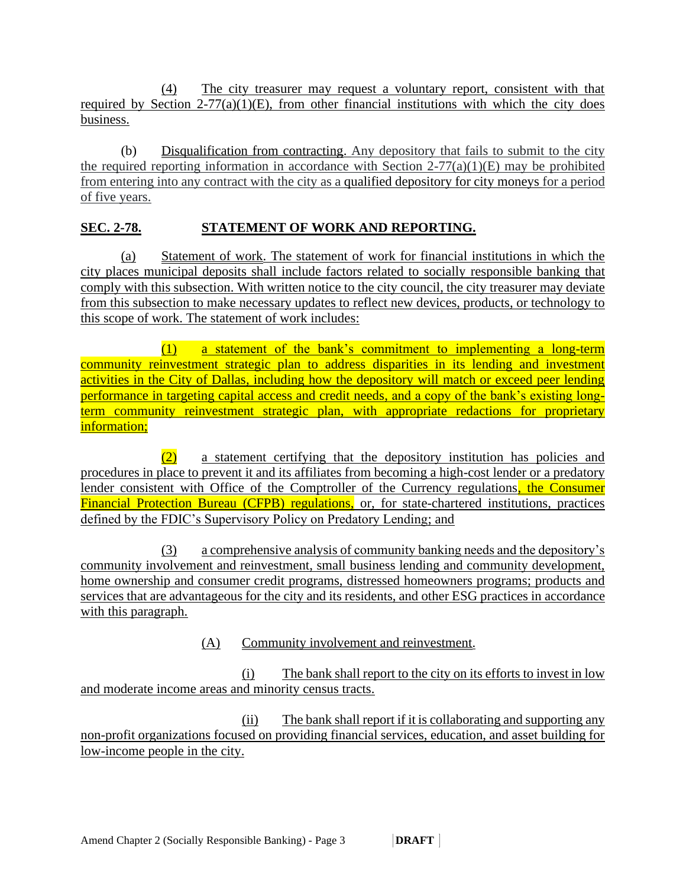(4) The city treasurer may request a voluntary report, consistent with that required by Section  $2-77(a)(1)(E)$ , from other financial institutions with which the city does business.

(b) Disqualification from contracting. Any depository that fails to submit to the city the required reporting information in accordance with Section  $2-77(a)(1)(E)$  may be prohibited from entering into any contract with the city as a qualified depository for city moneys for a period of five years.

## **SEC. 2-78. STATEMENT OF WORK AND REPORTING.**

(a) Statement of work. The statement of work for financial institutions in which the city places municipal deposits shall include factors related to socially responsible banking that comply with this subsection. With written notice to the city council, the city treasurer may deviate from this subsection to make necessary updates to reflect new devices, products, or technology to this scope of work. The statement of work includes:

(1) a statement of the bank's commitment to implementing a long-term community reinvestment strategic plan to address disparities in its lending and investment activities in the City of Dallas, including how the depository will match or exceed peer lending performance in targeting capital access and credit needs, and a copy of the bank's existing longterm community reinvestment strategic plan, with appropriate redactions for proprietary information;

(2) a statement certifying that the depository institution has policies and procedures in place to prevent it and its affiliates from becoming a high-cost lender or a predatory lender consistent with Office of the Comptroller of the Currency regulations, the Consumer Financial Protection Bureau (CFPB) regulations, or, for state-chartered institutions, practices defined by the FDIC's Supervisory Policy on Predatory Lending; and

(3) a comprehensive analysis of community banking needs and the depository's community involvement and reinvestment, small business lending and community development, home ownership and consumer credit programs, distressed homeowners programs; products and services that are advantageous for the city and its residents, and other ESG practices in accordance with this paragraph.

(A) Community involvement and reinvestment.

(i) The bank shall report to the city on its efforts to invest in low and moderate income areas and minority census tracts.

(ii) The bank shall report if it is collaborating and supporting any non-profit organizations focused on providing financial services, education, and asset building for low-income people in the city.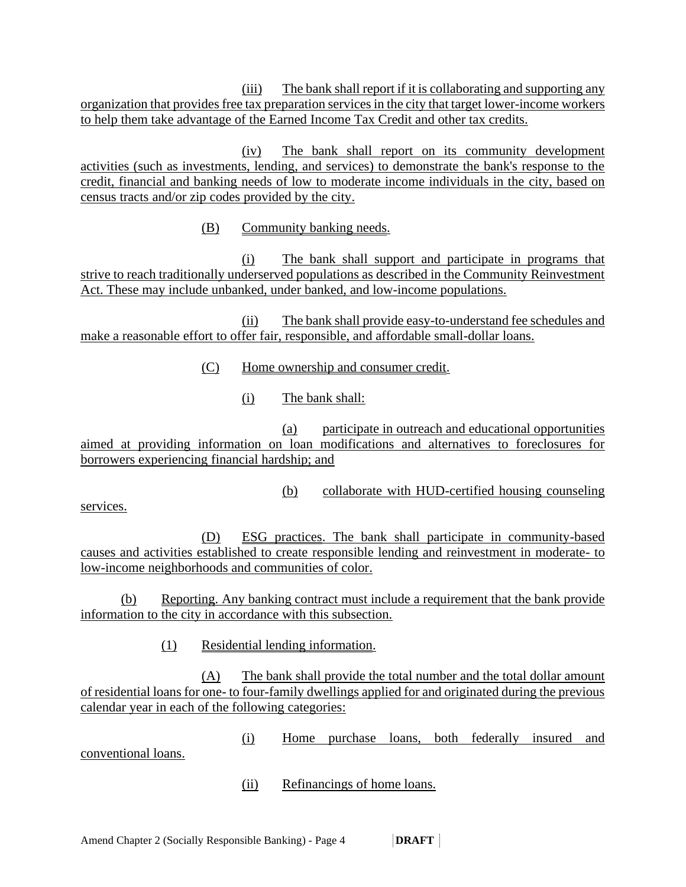(iii) The bank shall report if it is collaborating and supporting any organization that provides free tax preparation services in the city that target lower-income workers to help them take advantage of the Earned Income Tax Credit and other tax credits.

(iv) The bank shall report on its community development activities (such as investments, lending, and services) to demonstrate the bank's response to the credit, financial and banking needs of low to moderate income individuals in the city, based on census tracts and/or zip codes provided by the city.

(B) Community banking needs.

(i) The bank shall support and participate in programs that strive to reach traditionally underserved populations as described in the Community Reinvestment Act. These may include unbanked, under banked, and low-income populations.

(ii) The bank shall provide easy-to-understand fee schedules and make a reasonable effort to offer fair, responsible, and affordable small-dollar loans.

(C) Home ownership and consumer credit.

(i) The bank shall:

(a) participate in outreach and educational opportunities aimed at providing information on loan modifications and alternatives to foreclosures for borrowers experiencing financial hardship; and

(b) collaborate with HUD-certified housing counseling

services.

(D) ESG practices. The bank shall participate in community-based causes and activities established to create responsible lending and reinvestment in moderate- to low-income neighborhoods and communities of color.

(b) Reporting. Any banking contract must include a requirement that the bank provide information to the city in accordance with this subsection.

(1) Residential lending information.

(A) The bank shall provide the total number and the total dollar amount of residential loans for one- to four-family dwellings applied for and originated during the previous calendar year in each of the following categories:

(i) Home purchase loans, both federally insured and conventional loans.

(ii) Refinancings of home loans.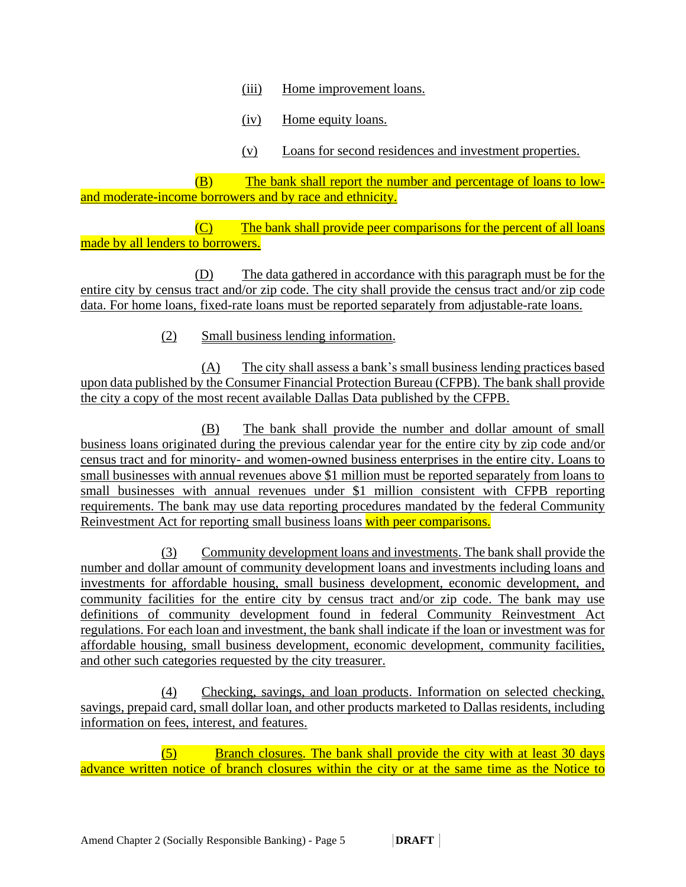(iii) Home improvement loans.

(iv) Home equity loans.

(v) Loans for second residences and investment properties.

 (B) The bank shall report the number and percentage of loans to lowand moderate-income borrowers and by race and ethnicity.

 (C) The bank shall provide peer comparisons for the percent of all loans made by all lenders to borrowers.

 (D) The data gathered in accordance with this paragraph must be for the entire city by census tract and/or zip code. The city shall provide the census tract and/or zip code data. For home loans, fixed-rate loans must be reported separately from adjustable-rate loans.

(2) Small business lending information.

(A) The city shall assess a bank's small business lending practices based upon data published by the Consumer Financial Protection Bureau (CFPB). The bank shall provide the city a copy of the most recent available Dallas Data published by the CFPB.

(B) The bank shall provide the number and dollar amount of small business loans originated during the previous calendar year for the entire city by zip code and/or census tract and for minority- and women-owned business enterprises in the entire city. Loans to small businesses with annual revenues above \$1 million must be reported separately from loans to small businesses with annual revenues under \$1 million consistent with CFPB reporting requirements. The bank may use data reporting procedures mandated by the federal Community Reinvestment Act for reporting small business loans with peer comparisons.

(3) Community development loans and investments. The bank shall provide the number and dollar amount of community development loans and investments including loans and investments for affordable housing, small business development, economic development, and community facilities for the entire city by census tract and/or zip code. The bank may use definitions of community development found in federal Community Reinvestment Act regulations. For each loan and investment, the bank shall indicate if the loan or investment was for affordable housing, small business development, economic development, community facilities, and other such categories requested by the city treasurer.

(4) Checking, savings, and loan products. Information on selected checking, savings, prepaid card, small dollar loan, and other products marketed to Dallas residents, including information on fees, interest, and features.

 (5) Branch closures. The bank shall provide the city with at least 30 days advance written notice of branch closures within the city or at the same time as the Notice to